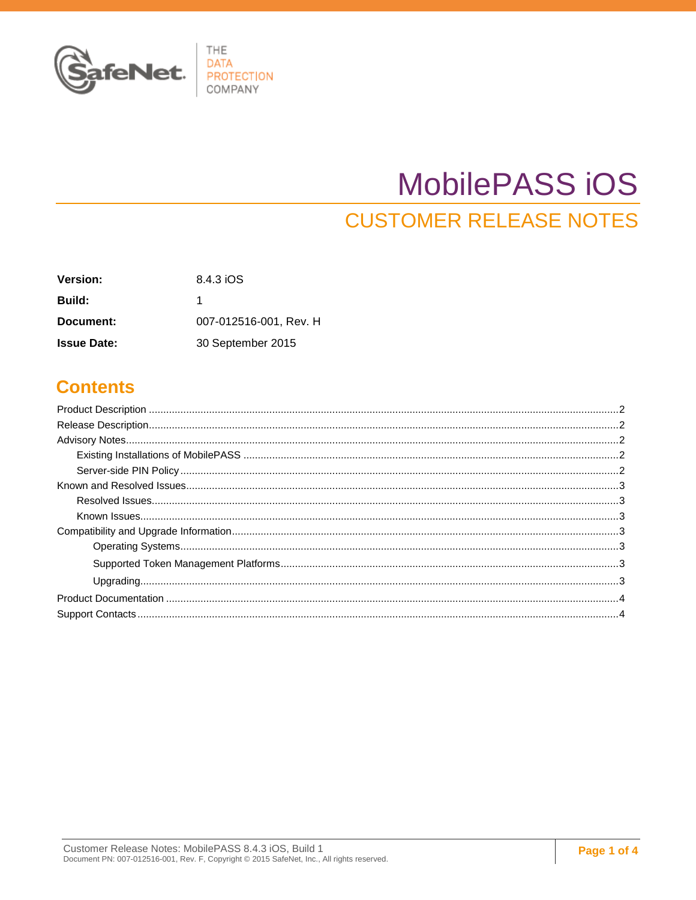

# MobilePASS iOS

**CUSTOMER RELEASE NOTES** 

| <b>Version:</b>    | 8.4.3 iOS              |
|--------------------|------------------------|
| <b>Build:</b>      | 1                      |
| Document:          | 007-012516-001, Rev. H |
| <b>Issue Date:</b> | 30 September 2015      |

### **Contents**

| ${\small \textsf{Upgrading}}. \newline \hspace*{1.5em} \textcolor{red}{.}\hspace*{1.5em} 3$ |  |
|---------------------------------------------------------------------------------------------|--|
|                                                                                             |  |
|                                                                                             |  |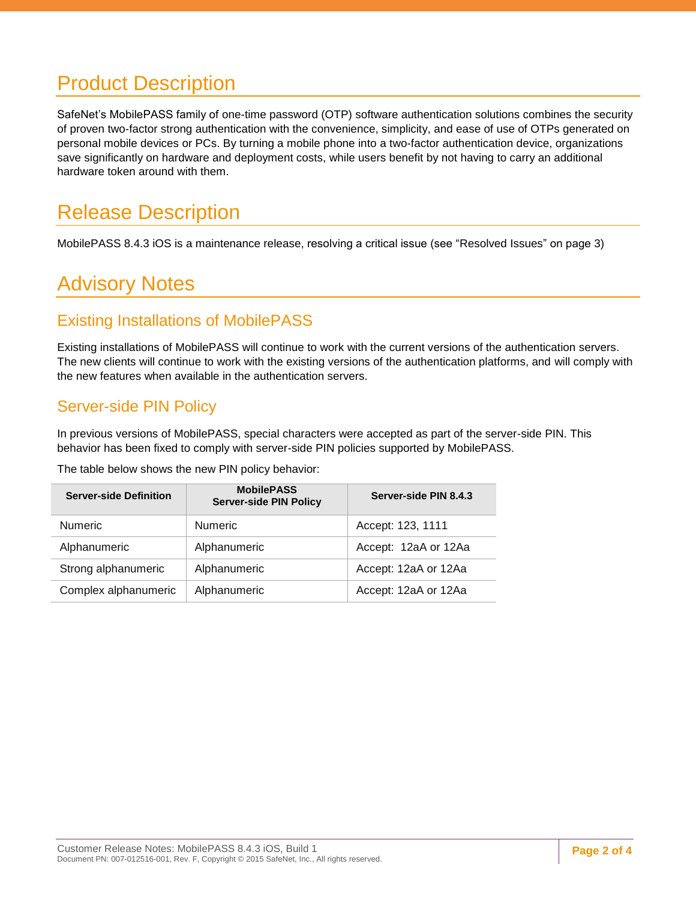## <span id="page-1-0"></span>Product Description

SafeNet's MobilePASS family of one-time password (OTP) software authentication solutions combines the security of proven two-factor strong authentication with the convenience, simplicity, and ease of use of OTPs generated on personal mobile devices or PCs. By turning a mobile phone into a two-factor authentication device, organizations save significantly on hardware and deployment costs, while users benefit by not having to carry an additional hardware token around with them.

## <span id="page-1-1"></span>Release Description

MobilePASS 8.4.3 iOS is a maintenance release, resolving a critical issue (see ["Resolved Issues"](#page-2-1) on page [3\)](#page-2-1)

## <span id="page-1-2"></span>Advisory Notes

#### <span id="page-1-3"></span>Existing Installations of MobilePASS

Existing installations of MobilePASS will continue to work with the current versions of the authentication servers. The new clients will continue to work with the existing versions of the authentication platforms, and will comply with the new features when available in the authentication servers.

#### <span id="page-1-4"></span>Server-side PIN Policy

In previous versions of MobilePASS, special characters were accepted as part of the server-side PIN. This behavior has been fixed to comply with server-side PIN policies supported by MobilePASS.

The table below shows the new PIN policy behavior:

| <b>Server-side Definition</b> | <b>MobilePASS</b><br><b>Server-side PIN Policy</b> | Server-side PIN 8.4.3 |
|-------------------------------|----------------------------------------------------|-----------------------|
| <b>Numeric</b>                | <b>Numeric</b>                                     | Accept: 123, 1111     |
| Alphanumeric                  | Alphanumeric                                       | Accept: 12aA or 12Aa  |
| Strong alphanumeric           | Alphanumeric                                       | Accept: 12aA or 12Aa  |
| Complex alphanumeric          | Alphanumeric                                       | Accept: 12aA or 12Aa  |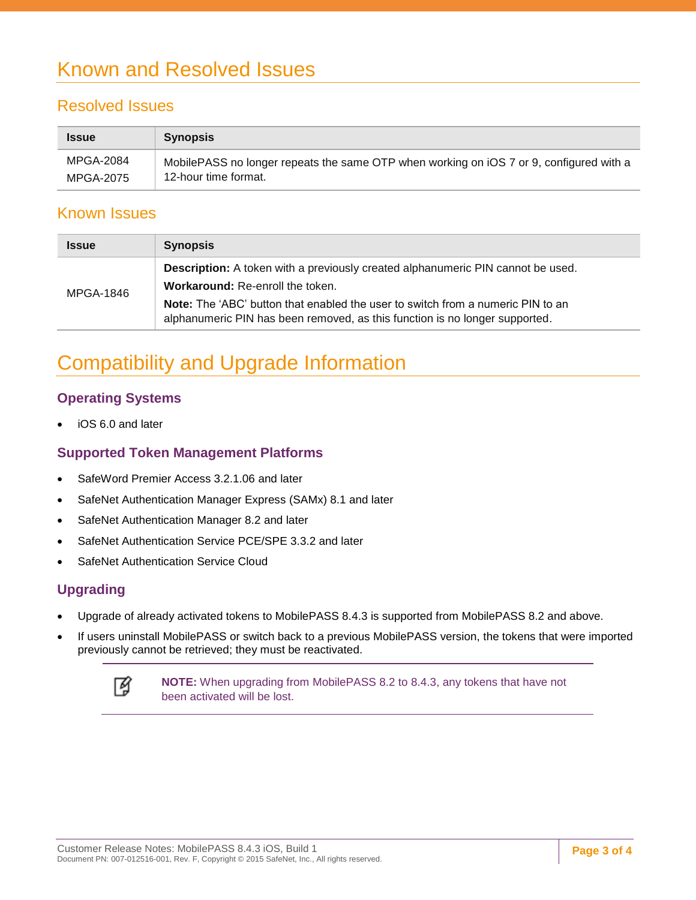## <span id="page-2-0"></span>Known and Resolved Issues

#### <span id="page-2-1"></span>Resolved Issues

| <b>Issue</b>     | <b>Synopsis</b>                                                                         |
|------------------|-----------------------------------------------------------------------------------------|
| <b>MPGA-2084</b> | MobilePASS no longer repeats the same OTP when working on iOS 7 or 9, configured with a |
| <b>MPGA-2075</b> | 12-hour time format.                                                                    |

#### <span id="page-2-2"></span>Known Issues

| <b>Issue</b> | <b>Synopsis</b>                                                                                                                                                                                                                                                                       |
|--------------|---------------------------------------------------------------------------------------------------------------------------------------------------------------------------------------------------------------------------------------------------------------------------------------|
| MPGA-1846    | Description: A token with a previously created alphanumeric PIN cannot be used.<br>Workaround: Re-enroll the token.<br>Note: The 'ABC' button that enabled the user to switch from a numeric PIN to an<br>alphanumeric PIN has been removed, as this function is no longer supported. |

## <span id="page-2-3"></span>Compatibility and Upgrade Information

#### <span id="page-2-4"></span>**Operating Systems**

iOS 6.0 and later

#### <span id="page-2-5"></span>**Supported Token Management Platforms**

- SafeWord Premier Access 3.2.1.06 and later
- SafeNet Authentication Manager Express (SAMx) 8.1 and later
- SafeNet Authentication Manager 8.2 and later
- SafeNet Authentication Service PCE/SPE 3.3.2 and later
- SafeNet Authentication Service Cloud

#### <span id="page-2-6"></span>**Upgrading**

- Upgrade of already activated tokens to MobilePASS 8.4.3 is supported from MobilePASS 8.2 and above.
- If users uninstall MobilePASS or switch back to a previous MobilePASS version, the tokens that were imported previously cannot be retrieved; they must be reactivated.



**NOTE:** When upgrading from MobilePASS 8.2 to 8.4.3, any tokens that have not been activated will be lost.